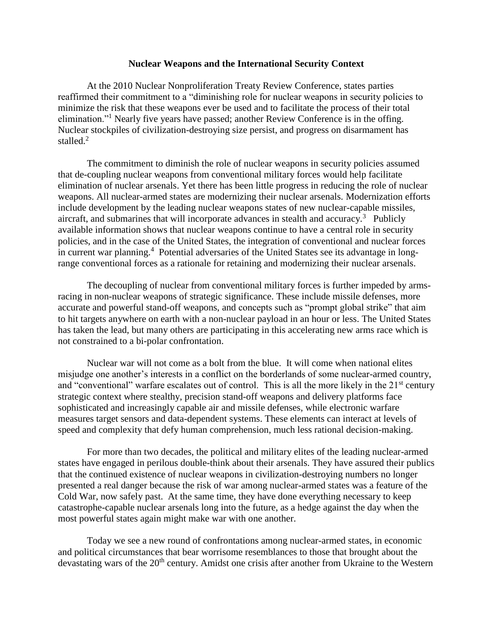## **Nuclear Weapons and the International Security Context**

At the 2010 Nuclear Nonproliferation Treaty Review Conference, states parties reaffirmed their commitment to a "diminishing role for nuclear weapons in security policies to minimize the risk that these weapons ever be used and to facilitate the process of their total elimination."<sup>1</sup> Nearly five years have passed; another Review Conference is in the offing. Nuclear stockpiles of civilization-destroying size persist, and progress on disarmament has stalled.<sup>2</sup>

The commitment to diminish the role of nuclear weapons in security policies assumed that de-coupling nuclear weapons from conventional military forces would help facilitate elimination of nuclear arsenals. Yet there has been little progress in reducing the role of nuclear weapons. All nuclear-armed states are modernizing their nuclear arsenals. Modernization efforts include development by the leading nuclear weapons states of new nuclear-capable missiles, aircraft, and submarines that will incorporate advances in stealth and accuracy.<sup>3</sup> Publicly available information shows that nuclear weapons continue to have a central role in security policies, and in the case of the United States, the integration of conventional and nuclear forces in current war planning.<sup>4</sup> Potential adversaries of the United States see its advantage in longrange conventional forces as a rationale for retaining and modernizing their nuclear arsenals.

The decoupling of nuclear from conventional military forces is further impeded by armsracing in non-nuclear weapons of strategic significance. These include missile defenses, more accurate and powerful stand-off weapons, and concepts such as "prompt global strike" that aim to hit targets anywhere on earth with a non-nuclear payload in an hour or less. The United States has taken the lead, but many others are participating in this accelerating new arms race which is not constrained to a bi-polar confrontation.

Nuclear war will not come as a bolt from the blue. It will come when national elites misjudge one another's interests in a conflict on the borderlands of some nuclear-armed country, and "conventional" warfare escalates out of control. This is all the more likely in the  $21<sup>st</sup>$  century strategic context where stealthy, precision stand-off weapons and delivery platforms face sophisticated and increasingly capable air and missile defenses, while electronic warfare measures target sensors and data-dependent systems. These elements can interact at levels of speed and complexity that defy human comprehension, much less rational decision-making.

For more than two decades, the political and military elites of the leading nuclear-armed states have engaged in perilous double-think about their arsenals. They have assured their publics that the continued existence of nuclear weapons in civilization-destroying numbers no longer presented a real danger because the risk of war among nuclear-armed states was a feature of the Cold War, now safely past. At the same time, they have done everything necessary to keep catastrophe-capable nuclear arsenals long into the future, as a hedge against the day when the most powerful states again might make war with one another.

Today we see a new round of confrontations among nuclear-armed states, in economic and political circumstances that bear worrisome resemblances to those that brought about the devastating wars of the 20<sup>th</sup> century. Amidst one crisis after another from Ukraine to the Western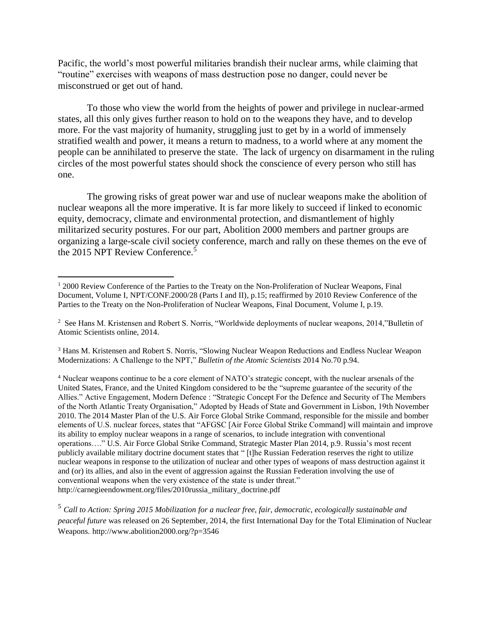Pacific, the world's most powerful militaries brandish their nuclear arms, while claiming that "routine" exercises with weapons of mass destruction pose no danger, could never be misconstrued or get out of hand.

To those who view the world from the heights of power and privilege in nuclear-armed states, all this only gives further reason to hold on to the weapons they have, and to develop more. For the vast majority of humanity, struggling just to get by in a world of immensely stratified wealth and power, it means a return to madness, to a world where at any moment the people can be annihilated to preserve the state. The lack of urgency on disarmament in the ruling circles of the most powerful states should shock the conscience of every person who still has one.

The growing risks of great power war and use of nuclear weapons make the abolition of nuclear weapons all the more imperative. It is far more likely to succeed if linked to economic equity, democracy, climate and environmental protection, and dismantlement of highly militarized security postures. For our part, Abolition 2000 members and partner groups are organizing a large-scale civil society conference, march and rally on these themes on the eve of the 2015 NPT Review Conference.<sup>5</sup>

 $\overline{a}$ 

<sup>3</sup> Hans M. Kristensen and Robert S. Norris, "Slowing Nuclear Weapon Reductions and Endless Nuclear Weapon Modernizations: A Challenge to the NPT," *Bulletin of the Atomic Scientists* 2014 No.70 p.94.

<sup>4</sup> Nuclear weapons continue to be a core element of NATO's strategic concept, with the nuclear arsenals of the United States, France, and the United Kingdom considered to be the "supreme guarantee of the security of the Allies." Active Engagement, Modern Defence : "Strategic Concept For the Defence and Security of The Members of the North Atlantic Treaty Organisation," Adopted by Heads of State and Government in Lisbon, 19th November 2010. The 2014 Master Plan of the U.S. Air Force Global Strike Command, responsible for the missile and bomber elements of U.S. nuclear forces, states that "AFGSC [Air Force Global Strike Command] will maintain and improve its ability to employ nuclear weapons in a range of scenarios, to include integration with conventional operations…." U.S. Air Force Global Strike Command, Strategic Master Plan 2014, p.9. Russia's most recent publicly available military doctrine document states that " [t]he Russian Federation reserves the right to utilize nuclear weapons in response to the utilization of nuclear and other types of weapons of mass destruction against it and (or) its allies, and also in the event of aggression against the Russian Federation involving the use of conventional weapons when the very existence of the state is under threat." http://carnegieendowment.org/files/2010russia\_military\_doctrine.pdf

<sup>5</sup> *Call to Action: Spring 2015 Mobilization for a nuclear free, fair, democratic, ecologically sustainable and peaceful future* was released on 26 September, 2014, the first International Day for the Total Elimination of Nuclear Weapons. http://www.abolition2000.org/?p=3546

<sup>&</sup>lt;sup>1</sup> 2000 Review Conference of the Parties to the Treaty on the Non-Proliferation of Nuclear Weapons, Final Document, Volume I, NPT/CONF.2000/28 (Parts I and II), p.15; reaffirmed by 2010 Review Conference of the Parties to the Treaty on the Non-Proliferation of Nuclear Weapons, Final Document, Volume I, p.19.

<sup>&</sup>lt;sup>2</sup> See Hans M. Kristensen and Robert S. Norris, "Worldwide deployments of nuclear weapons, 2014, "Bulletin of Atomic Scientists online, 2014.